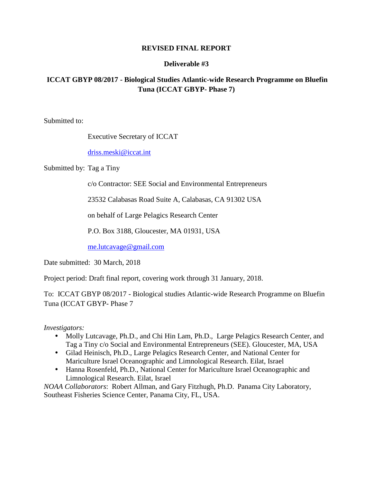### **REVISED FINAL REPORT**

## **Deliverable #3**

# **ICCAT GBYP 08/2017 - Biological Studies Atlantic-wide Research Programme on Bluefin Tuna (ICCAT GBYP- Phase 7)**

Submitted to:

Executive Secretary of ICCAT

[driss.meski@iccat.int](mailto:driss.meski@iccat.int)

Submitted by: Tag a Tiny

c/o Contractor: SEE Social and Environmental Entrepreneurs

23532 Calabasas Road Suite A, Calabasas, CA 91302 USA

on behalf of Large Pelagics Research Center

P.O. Box 3188, Gloucester, MA 01931, USA

[me.lutcavage@gmail.com](mailto:me.lutcavage@gmail.com)

Date submitted: 30 March, 2018

Project period: Draft final report, covering work through 31 January, 2018.

To: ICCAT GBYP 08/2017 - Biological studies Atlantic-wide Research Programme on Bluefin Tuna (ICCAT GBYP- Phase 7

*Investigators:*

- Molly Lutcavage, Ph.D., and Chi Hin Lam, Ph.D., Large Pelagics Research Center, and Tag a Tiny c/o Social and Environmental Entrepreneurs (SEE). Gloucester, MA, USA
- Gilad Heinisch, Ph.D., Large Pelagics Research Center, and National Center for Mariculture Israel Oceanographic and Limnological Research. Eilat, Israel
- Hanna Rosenfeld, Ph.D., National Center for Mariculture Israel Oceanographic and Limnological Research. Eilat, Israel

*NOAA Collaborators*: Robert Allman, and Gary Fitzhugh, Ph.D. Panama City Laboratory, Southeast Fisheries Science Center, Panama City, FL, USA.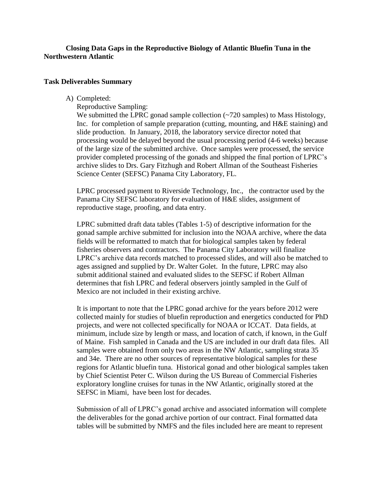## **Closing Data Gaps in the Reproductive Biology of Atlantic Bluefin Tuna in the Northwestern Atlantic**

#### **Task Deliverables Summary**

A) Completed:

Reproductive Sampling:

We submitted the LPRC gonad sample collection (~720 samples) to Mass Histology, Inc. for completion of sample preparation (cutting, mounting, and H&E staining) and slide production. In January, 2018, the laboratory service director noted that processing would be delayed beyond the usual processing period (4-6 weeks) because of the large size of the submitted archive. Once samples were processed, the service provider completed processing of the gonads and shipped the final portion of LPRC's archive slides to Drs. Gary Fitzhugh and Robert Allman of the Southeast Fisheries Science Center (SEFSC) Panama City Laboratory, FL.

LPRC processed payment to Riverside Technology, Inc., the contractor used by the Panama City SEFSC laboratory for evaluation of H&E slides, assignment of reproductive stage, proofing, and data entry.

LPRC submitted draft data tables (Tables 1-5) of descriptive information for the gonad sample archive submitted for inclusion into the NOAA archive, where the data fields will be reformatted to match that for biological samples taken by federal fisheries observers and contractors. The Panama City Laboratory will finalize LPRC's archive data records matched to processed slides, and will also be matched to ages assigned and supplied by Dr. Walter Golet. In the future, LPRC may also submit additional stained and evaluated slides to the SEFSC if Robert Allman determines that fish LPRC and federal observers jointly sampled in the Gulf of Mexico are not included in their existing archive.

It is important to note that the LPRC gonad archive for the years before 2012 were collected mainly for studies of bluefin reproduction and energetics conducted for PhD projects, and were not collected specifically for NOAA or ICCAT. Data fields, at minimum, include size by length or mass, and location of catch, if known, in the Gulf of Maine. Fish sampled in Canada and the US are included in our draft data files. All samples were obtained from only two areas in the NW Atlantic, sampling strata 35 and 34e. There are no other sources of representative biological samples for these regions for Atlantic bluefin tuna. Historical gonad and other biological samples taken by Chief Scientist Peter C. Wilson during the US Bureau of Commercial Fisheries exploratory longline cruises for tunas in the NW Atlantic, originally stored at the SEFSC in Miami, have been lost for decades.

Submission of all of LPRC's gonad archive and associated information will complete the deliverables for the gonad archive portion of our contract. Final formatted data tables will be submitted by NMFS and the files included here are meant to represent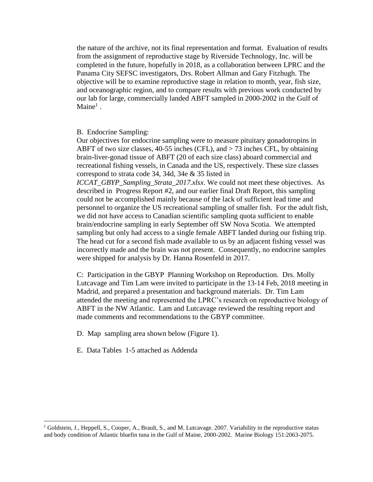the nature of the archive, not its final representation and format. Evaluation of results from the assignment of reproductive stage by Riverside Technology, Inc. will be completed in the future, hopefully in 2018, as a collaboration between LPRC and the Panama City SEFSC investigators, Drs. Robert Allman and Gary Fitzhugh. The objective will be to examine reproductive stage in relation to month, year, fish size, and oceanographic region, and to compare results with previous work conducted by our lab for large, commercially landed ABFT sampled in 2000-2002 in the Gulf of Maine<sup>1</sup>.

B. Endocrine Sampling:

Our objectives for endocrine sampling were to measure pituitary gonadotropins in ABFT of two size classes, 40-55 inches (CFL), and > 73 inches CFL, by obtaining brain-liver-gonad tissue of ABFT (20 of each size class) aboard commercial and recreational fishing vessels, in Canada and the US, respectively. These size classes correspond to strata code 34, 34d, 34e & 35 listed in

*ICCAT\_GBYP\_Sampling\_Strata\_2017.xlsx*. We could not meet these objectives. As described in Progress Report #2, and our earlier final Draft Report, this sampling could not be accomplished mainly because of the lack of sufficient lead time and personnel to organize the US recreational sampling of smaller fish. For the adult fish, we did not have access to Canadian scientific sampling quota sufficient to enable brain/endocrine sampling in early September off SW Nova Scotia. We attempted sampling but only had access to a single female ABFT landed during our fishing trip. The head cut for a second fish made available to us by an adjacent fishing vessel was incorrectly made and the brain was not present. Consequently, no endocrine samples were shipped for analysis by Dr. Hanna Rosenfeld in 2017.

C: Participation in the GBYP Planning Workshop on Reproduction. Drs. Molly Lutcavage and Tim Lam were invited to participate in the 13-14 Feb, 2018 meeting in Madrid, and prepared a presentation and background materials. Dr. Tim Lam attended the meeting and represented the LPRC's research on reproductive biology of ABFT in the NW Atlantic. Lam and Lutcavage reviewed the resulting report and made comments and recommendations to the GBYP committee.

D. Map sampling area shown below (Figure 1).

E. Data Tables 1-5 attached as Addenda

l

<sup>&</sup>lt;sup>1</sup> Goldstein, J., Heppell, S., Cooper, A., Brault, S., and M. Lutcavage. 2007. Variability in the reproductive status and body condition of Atlantic bluefin tuna in the Gulf of Maine, 2000-2002. Marine Biology 151:2063-2075.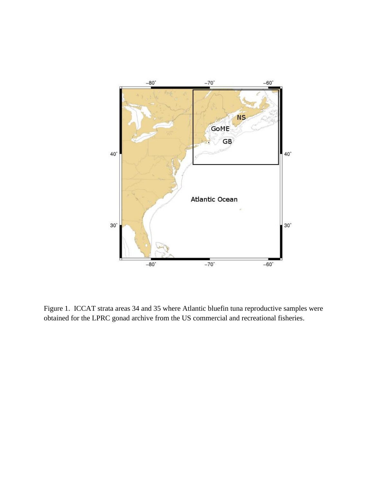

Figure 1. ICCAT strata areas 34 and 35 where Atlantic bluefin tuna reproductive samples were obtained for the LPRC gonad archive from the US commercial and recreational fisheries.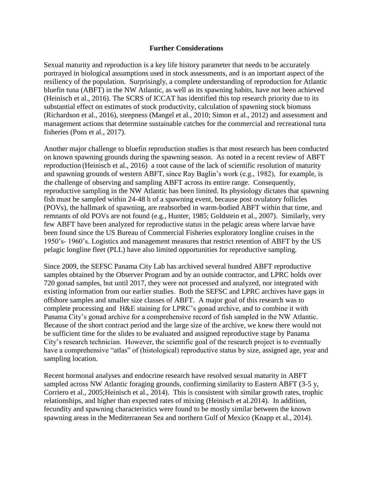#### **Further Considerations**

Sexual maturity and reproduction is a key life history parameter that needs to be accurately portrayed in biological assumptions used in stock assessments, and is an important aspect of the resiliency of the population. Surprisingly, a complete understanding of reproduction for Atlantic bluefin tuna (ABFT) in the NW Atlantic, as well as its spawning habits, have not been achieved (Heinisch et al., 2016). The SCRS of ICCAT has identified this top research priority due to its substantial effect on estimates of stock productivity, calculation of spawning stock biomass (Richardson et al., 2016), steepness (Mangel et al., 2010; Simon et al., 2012) and assessment and management actions that determine sustainable catches for the commercial and recreational tuna fisheries (Pons et al., 2017).

Another major challenge to bluefin reproduction studies is that most research has been conducted on known spawning grounds during the spawning season. As noted in a recent review of ABFT reproduction (Heinisch et al., 2016) a root cause of the lack of scientific resolution of maturity and spawning grounds of western ABFT, since Ray Baglin's work (e.g., 1982), for example, is the challenge of observing and sampling ABFT across its entire range. Consequently, reproductive sampling in the NW Atlantic has been limited. Its physiology dictates that spawning fish must be sampled within 24-48 h of a spawning event, because post ovulatory follicles (POVs), the hallmark of spawning, are reabsorbed in warm-bodied ABFT within that time, and remnants of old POVs are not found (e.g., Hunter, 1985; Goldstein et al., 2007). Similarly, very few ABFT have been analyzed for reproductive status in the pelagic areas where larvae have been found since the US Bureau of Commercial Fisheries exploratory longline cruises in the 1950's- 1960's. Logistics and management measures that restrict retention of ABFT by the US pelagic longline fleet (PLL) have also limited opportunities for reproductive sampling.

Since 2009, the SEFSC Panama City Lab has archived several hundred ABFT reproductive samples obtained by the Observer Program and by an outside contractor, and LPRC holds over 720 gonad samples, but until 2017, they were not processed and analyzed, nor integrated with existing information from our earlier studies. Both the SEFSC and LPRC archives have gaps in offshore samples and smaller size classes of ABFT. A major goal of this research was to complete processing and H&E staining for LPRC's gonad archive, and to combine it with Panama City's gonad archive for a comprehensive record of fish sampled in the NW Atlantic. Because of the short contract period and the large size of the archive, we knew there would not be sufficient time for the slides to be evaluated and assigned reproductive stage by Panama City's research technician. However, the scientific goal of the research project is to eventually have a comprehensive "atlas" of (histological) reproductive status by size, assigned age, year and sampling location.

Recent hormonal analyses and endocrine research have resolved sexual maturity in ABFT sampled across NW Atlantic foraging grounds, confirming similarity to Eastern ABFT (3-5 y, Corriero et al., 2005;Heinisch et al., 2014). This is consistent with similar growth rates, trophic relationships, and higher than expected rates of mixing (Heinisch et al.2014). In addition, fecundity and spawning characteristics were found to be mostly similar between the known spawning areas in the Mediterranean Sea and northern Gulf of Mexico (Knapp et al., 2014).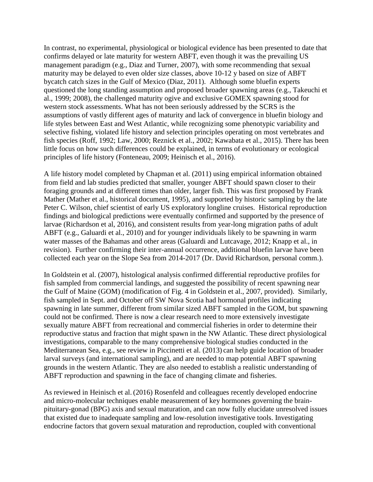In contrast, no experimental, physiological or biological evidence has been presented to date that confirms delayed or late maturity for western ABFT, even though it was the prevailing US management paradigm (e.g., Diaz and Turner, 2007), with some recommending that sexual maturity may be delayed to even older size classes, above 10-12 y based on size of ABFT bycatch catch sizes in the Gulf of Mexico (Diaz, 2011). Although some bluefin experts questioned the long standing assumption and proposed broader spawning areas (e.g., Takeuchi et al., 1999; 2008), the challenged maturity ogive and exclusive GOMEX spawning stood for western stock assessments. What has not been seriously addressed by the SCRS is the assumptions of vastly different ages of maturity and lack of convergence in bluefin biology and life styles between East and West Atlantic, while recognizing some phenotypic variability and selective fishing, violated life history and selection principles operating on most vertebrates and fish species (Roff, 1992; Law, 2000; Reznick et al., 2002; Kawabata et al., 2015). There has been little focus on how such differences could be explained, in terms of evolutionary or ecological principles of life history (Fonteneau, 2009; Heinisch et al., 2016).

A life history model completed by Chapman et al. (2011) using empirical information obtained from field and lab studies predicted that smaller, younger ABFT should spawn closer to their foraging grounds and at different times than older, larger fish. This was first proposed by Frank Mather (Mather et al., historical document, 1995), and supported by historic sampling by the late Peter C. Wilson, chief scientist of early US exploratory longline cruises. Historical reproduction findings and biological predictions were eventually confirmed and supported by the presence of larvae (Richardson et al, 2016), and consistent results from year-long migration paths of adult ABFT (e.g., Galuardi et al., 2010) and for younger individuals likely to be spawning in warm water masses of the Bahamas and other areas (Galuardi and Lutcavage, 2012; Knapp et al., in revision). Further confirming their inter-annual occurrence, additional bluefin larvae have been collected each year on the Slope Sea from 2014-2017 (Dr. David Richardson, personal comm.).

In Goldstein et al. (2007), histological analysis confirmed differential reproductive profiles for fish sampled from commercial landings, and suggested the possibility of recent spawning near the Gulf of Maine (GOM) (modification of Fig. 4 in Goldstein et al., 2007, provided). Similarly, fish sampled in Sept. and October off SW Nova Scotia had hormonal profiles indicating spawning in late summer, different from similar sized ABFT sampled in the GOM, but spawning could not be confirmed. There is now a clear research need to more extensively investigate sexually mature ABFT from recreational and commercial fisheries in order to determine their reproductive status and fraction that might spawn in the NW Atlantic. These direct physiological investigations, comparable to the many comprehensive biological studies conducted in the Mediterranean Sea, e.g., see review in Piccinetti et al. (2013) can help guide location of broader larval surveys (and international sampling), and are needed to map potential ABFT spawning grounds in the western Atlantic. They are also needed to establish a realistic understanding of ABFT reproduction and spawning in the face of changing climate and fisheries.

As reviewed in Heinisch et al. (2016) Rosenfeld and colleagues recently developed endocrine and micro-molecular techniques enable measurement of key hormones governing the brainpituitary-gonad (BPG) axis and sexual maturation, and can now fully elucidate unresolved issues that existed due to inadequate sampling and low-resolution investigative tools. Investigating endocrine factors that govern sexual maturation and reproduction, coupled with conventional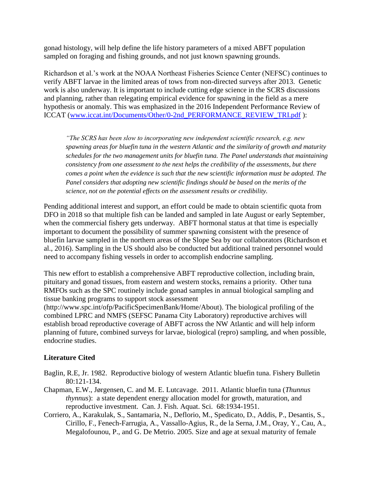gonad histology, will help define the life history parameters of a mixed ABFT population sampled on foraging and fishing grounds, and not just known spawning grounds.

Richardson et al.'s work at the NOAA Northeast Fisheries Science Center (NEFSC) continues to verify ABFT larvae in the limited areas of tows from non-directed surveys after 2013. Genetic work is also underway. It is important to include cutting edge science in the SCRS discussions and planning, rather than relegating empirical evidence for spawning in the field as a mere hypothesis or anomaly. This was emphasized in the 2016 Independent Performance Review of ICCAT [\(www.iccat.int/Documents/Other/0-2nd\\_PERFORMANCE\\_REVIEW\\_TRI.pdf](http://www.iccat.int/Documents/Other/0-2nd_PERFORMANCE_REVIEW_TRI.pdf) ):

*"The SCRS has been slow to incorporating new independent scientific research, e.g. new spawning areas for bluefin tuna in the western Atlantic and the similarity of growth and maturity schedules for the two management units for bluefin tuna. The Panel understands that maintaining consistency from one assessment to the next helps the credibility of the assessments, but there comes a point when the evidence is such that the new scientific information must be adopted. The Panel considers that adopting new scientific findings should be based on the merits of the science, not on the potential effects on the assessment results or credibility.*

Pending additional interest and support, an effort could be made to obtain scientific quota from DFO in 2018 so that multiple fish can be landed and sampled in late August or early September, when the commercial fishery gets underway. ABFT hormonal status at that time is especially important to document the possibility of summer spawning consistent with the presence of bluefin larvae sampled in the northern areas of the Slope Sea by our collaborators (Richardson et al., 2016). Sampling in the US should also be conducted but additional trained personnel would need to accompany fishing vessels in order to accomplish endocrine sampling.

This new effort to establish a comprehensive ABFT reproductive collection, including brain, pituitary and gonad tissues, from eastern and western stocks, remains a priority. Other tuna RMFOs such as the SPC routinely include gonad samples in annual biological sampling and tissue banking programs to support stock assessment

(http://www.spc.int/ofp/PacificSpecimenBank/Home/About). The biological profiling of the combined LPRC and NMFS (SEFSC Panama City Laboratory) reproductive archives will establish broad reproductive coverage of ABFT across the NW Atlantic and will help inform planning of future, combined surveys for larvae, biological (repro) sampling, and when possible, endocrine studies.

# **Literature Cited**

- Baglin, R.E, Jr. 1982. Reproductive biology of western Atlantic bluefin tuna. Fishery Bulletin 80:121-134.
- Chapman, E.W., Jørgensen, C. and M. E. Lutcavage. 2011. Atlantic bluefin tuna (*Thunnus thynnus*): a state dependent energy allocation model for growth, maturation, and reproductive investment. Can. J. Fish. Aquat. Sci. 68:1934-1951.
- Corriero, A*.*, Karakulak, S., Santamaria, N., Deflorio, M., Spedicato, D., Addis, P., Desantis, S., Cirillo, F., Fenech-Farrugia, A., Vassallo-Agius, R., de la Serna, J.M., Oray, Y., Cau, A., Megalofounou, P., and G. De Metrio. 2005. Size and age at sexual maturity of female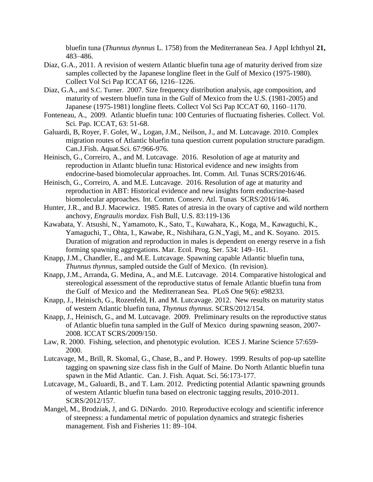bluefin tuna (*Thunnus thynnus* L. 1758) from the Mediterranean Sea. J Appl Ichthyol **21,** 483–486.

- Diaz, G.A., 2011. A revision of western Atlantic bluefin tuna age of maturity derived from size samples collected by the Japanese longline fleet in the Gulf of Mexico (1975-1980). Collect Vol Sci Pap ICCAT 66, 1216–1226.
- Diaz, G.A., and S.C. Turner. 2007. Size frequency distribution analysis, age composition, and maturity of western bluefin tuna in the Gulf of Mexico from the U.S. (1981-2005) and Japanese (1975-1981) longline fleets. Collect Vol Sci Pap ICCAT 60, 1160–1170.
- Fonteneau, A., 2009. Atlantic bluefin tuna: 100 Centuries of fluctuating fisheries. Collect. Vol. Sci. Pap. ICCAT, 63: 51-68.
- Galuardi, B, Royer, F. Golet, W., Logan, J.M., Neilson, J., and M. Lutcavage. 2010. Complex migration routes of Atlantic bluefin tuna question current population structure paradigm. Can.J.Fish. Aquat.Sci. 67:966-976.
- Heinisch, G., Correiro, A., and M. Lutcavage. 2016. Resolution of age at maturity and reproduction in Atlantc bluefin tuna: Historical evidence and new insights from endocrine-based biomolecular approaches. Int. Comm. Atl. Tunas SCRS/2016/46.
- Heinisch, G., Correiro, A. and M.E. Lutcavage. 2016. Resolution of age at maturity and reproduction in ABT: Historical evidence and new insights form endocrine-based biomolecular approaches. Int. Comm. Conserv. Atl. Tunas SCRS/2016/146.
- Hunter, J.R., and B.J. Macewicz. 1985. Rates of atresia in the ovary of captive and wild northern anchovy, *Engraulis mordax*. Fish Bull, U.S. 83:119-136
- Kawabata, Y. Atsushi, N., Yamamoto, K., Sato, T., Kuwahara, K., Koga, M., Kawaguchi, K., Yamaguchi, T., Ohta, I., Kawabe, R., Nishihara, G.N.,Yagi, M., and K. Soyano. 2015. Duration of migration and reproduction in males is dependent on energy reserve in a fish forming spawning aggregations. Mar. Ecol. Prog. Ser. 534: 149–161.
- Knapp, J.M., Chandler, E., and M.E. Lutcavage. Spawning capable Atlantic bluefin tuna, *Thunnus thynnus*, sampled outside the Gulf of Mexico. (In revision).
- Knapp, J.M., Arranda, G. Medina, A., and M.E. Lutcavage. 2014. Comparative histological and stereological assessment of the reproductive status of female Atlantic bluefin tuna from the Gulf of Mexico and the Mediterranean Sea. PLoS One 9(6): e98233.
- Knapp, J., Heinisch, G., Rozenfeld, H. and M. Lutcavage. 2012. New results on maturity status of western Atlantic bluefin tuna, *Thynnus thynnus*. SCRS/2012/154.
- Knapp, J., Heinisch, G., and M. Lutcavage. 2009. Preliminary results on the reproductive status of Atlantic bluefin tuna sampled in the Gulf of Mexico during spawning season, 2007- 2008. ICCAT SCRS/2009/150.
- Law, R. 2000. Fishing, selection, and phenotypic evolution. ICES J. Marine Science 57:659- 2000.
- Lutcavage, M., Brill, R. Skomal, G., Chase, B., and P. Howey. 1999. Results of pop-up satellite tagging on spawning size class fish in the Gulf of Maine. Do North Atlantic bluefin tuna spawn in the Mid Atlantic. Can. J. Fish. Aquat. Sci. 56:173-177.
- Lutcavage, M., Galuardi, B., and T. Lam. 2012. Predicting potential Atlantic spawning grounds of western Atlantic bluefin tuna based on electronic tagging results, 2010-2011. SCRS/2012/157.
- Mangel, M., Brodziak, J, and G. DiNardo. 2010. Reproductive ecology and scientific inference of steepness: a fundamental metric of population dynamics and strategic fisheries management. Fish and Fisheries 11: 89–104.